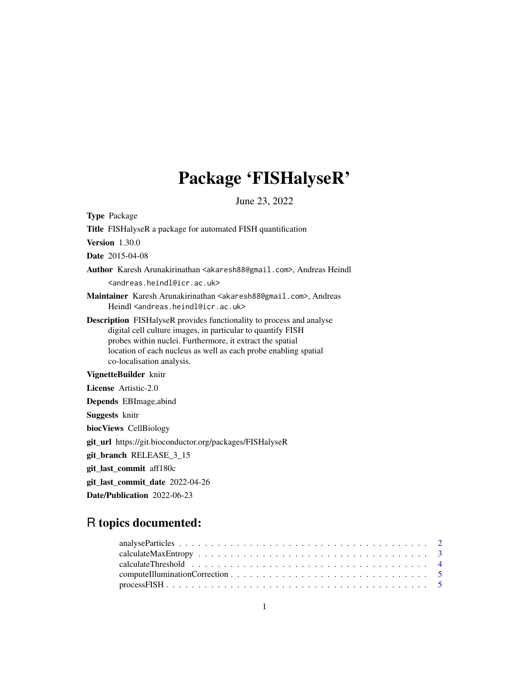# Package 'FISHalyseR'

June 23, 2022

| <b>Type Package</b>                                                                                                                                                                                                                                                                                     |  |  |
|---------------------------------------------------------------------------------------------------------------------------------------------------------------------------------------------------------------------------------------------------------------------------------------------------------|--|--|
| Title FISHalyseR a package for automated FISH quantification                                                                                                                                                                                                                                            |  |  |
| <b>Version</b> 1.30.0                                                                                                                                                                                                                                                                                   |  |  |
| <b>Date</b> 2015-04-08                                                                                                                                                                                                                                                                                  |  |  |
| Author Karesh Arunakirinathan <akaresh88@gmail.com>, Andreas Heindl</akaresh88@gmail.com>                                                                                                                                                                                                               |  |  |
| <andreas.heindl@icr.ac.uk></andreas.heindl@icr.ac.uk>                                                                                                                                                                                                                                                   |  |  |
| Maintainer Karesh Arunakirinathan <akaresh88@gmail.com>, Andreas<br/>Heindl <andreas.heindl@icr.ac.uk></andreas.heindl@icr.ac.uk></akaresh88@gmail.com>                                                                                                                                                 |  |  |
| <b>Description</b> FISHalyseR provides functionality to process and analyse<br>digital cell culture images, in particular to quantify FISH<br>probes within nuclei. Furthermore, it extract the spatial<br>location of each nucleus as well as each probe enabling spatial<br>co-localisation analysis. |  |  |
| VignetteBuilder knitr                                                                                                                                                                                                                                                                                   |  |  |
| License Artistic-2.0                                                                                                                                                                                                                                                                                    |  |  |
| <b>Depends</b> EBImage, abind                                                                                                                                                                                                                                                                           |  |  |
| <b>Suggests</b> knitr                                                                                                                                                                                                                                                                                   |  |  |
| biocViews CellBiology                                                                                                                                                                                                                                                                                   |  |  |
| git_url https://git.bioconductor.org/packages/FISHalyseR                                                                                                                                                                                                                                                |  |  |
| git_branch RELEASE_3_15                                                                                                                                                                                                                                                                                 |  |  |
| git_last_commit aff180c                                                                                                                                                                                                                                                                                 |  |  |
| git_last_commit_date 2022-04-26                                                                                                                                                                                                                                                                         |  |  |
| Date/Publication 2022-06-23                                                                                                                                                                                                                                                                             |  |  |

# R topics documented: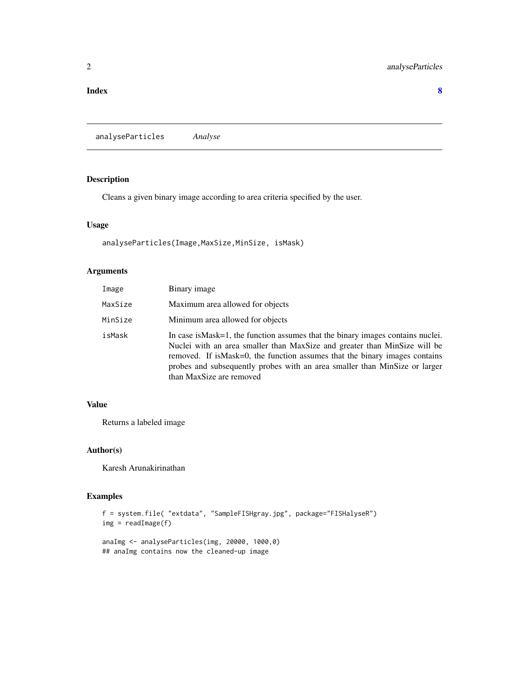#### <span id="page-1-0"></span>**Index** [8](#page-7-0) **8**

analyseParticles *Analyse*

# Description

Cleans a given binary image according to area criteria specified by the user.

# Usage

analyseParticles(Image, MaxSize, MinSize, isMask)

# Arguments

| Image   | Binary image                                                                                                                                                                                                                                                                                                                                          |
|---------|-------------------------------------------------------------------------------------------------------------------------------------------------------------------------------------------------------------------------------------------------------------------------------------------------------------------------------------------------------|
| MaxSize | Maximum area allowed for objects                                                                                                                                                                                                                                                                                                                      |
| MinSize | Minimum area allowed for objects                                                                                                                                                                                                                                                                                                                      |
| isMask  | In case is Mask=1, the function assumes that the binary images contains nuclei.<br>Nuclei with an area smaller than MaxSize and greater than MinSize will be<br>removed. If is Mask=0, the function assumes that the binary images contains<br>probes and subsequently probes with an area smaller than MinSize or larger<br>than MaxSize are removed |

# Value

Returns a labeled image

# Author(s)

Karesh Arunakirinathan

### Examples

```
f = system.file( "extdata", "SampleFISHgray.jpg", package="FISHalyseR")
img = readImage(f)
anaImg <- analyseParticles(img, 20000, 1000,0)
```
## anaImg contains now the cleaned-up image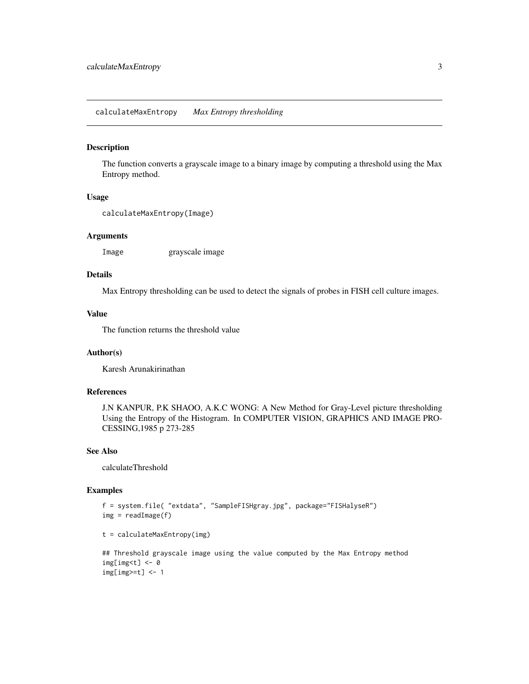#### <span id="page-2-0"></span>Description

The function converts a grayscale image to a binary image by computing a threshold using the Max Entropy method.

#### Usage

```
calculateMaxEntropy(Image)
```
#### Arguments

Image grayscale image

# Details

Max Entropy thresholding can be used to detect the signals of probes in FISH cell culture images.

# Value

The function returns the threshold value

#### Author(s)

Karesh Arunakirinathan

#### References

J.N KANPUR, P.K SHAOO, A.K.C WONG: A New Method for Gray-Level picture thresholding Using the Entropy of the Histogram. In COMPUTER VISION, GRAPHICS AND IMAGE PRO-CESSING,1985 p 273-285

#### See Also

calculateThreshold

#### Examples

```
f = system.file( "extdata", "SampleFISHgray.jpg", package="FISHalyseR")
img = readImage(f)
```

```
t = calculateMaxEntropy(img)
```

```
## Threshold grayscale image using the value computed by the Max Entropy method
img[img< t] < -0img[img>=t] <- 1
```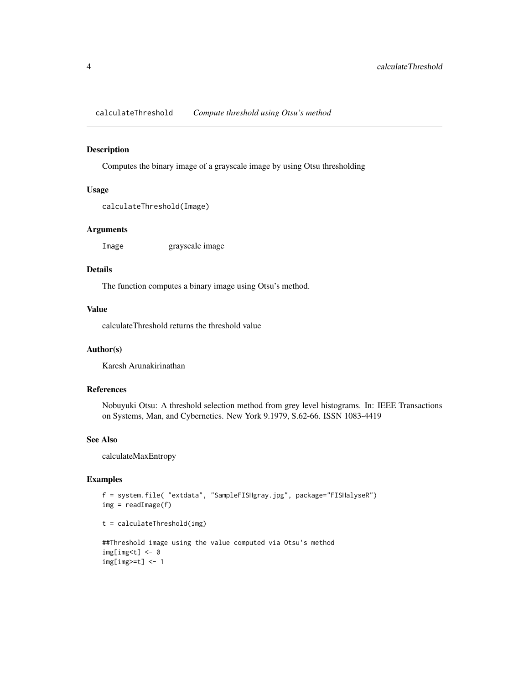<span id="page-3-0"></span>calculateThreshold *Compute threshold using Otsu's method*

#### Description

Computes the binary image of a grayscale image by using Otsu thresholding

# Usage

```
calculateThreshold(Image)
```
#### Arguments

Image grayscale image

# Details

The function computes a binary image using Otsu's method.

# Value

calculateThreshold returns the threshold value

# Author(s)

Karesh Arunakirinathan

# References

Nobuyuki Otsu: A threshold selection method from grey level histograms. In: IEEE Transactions on Systems, Man, and Cybernetics. New York 9.1979, S.62-66. ISSN 1083-4419

#### See Also

calculateMaxEntropy

# Examples

```
f = system.file( "extdata", "SampleFISHgray.jpg", package="FISHalyseR")
img = readImage(f)
```

```
t = calculateThreshold(img)
```

```
##Threshold image using the value computed via Otsu's method
img[img<t] <- 0
img[img>=t] <- 1
```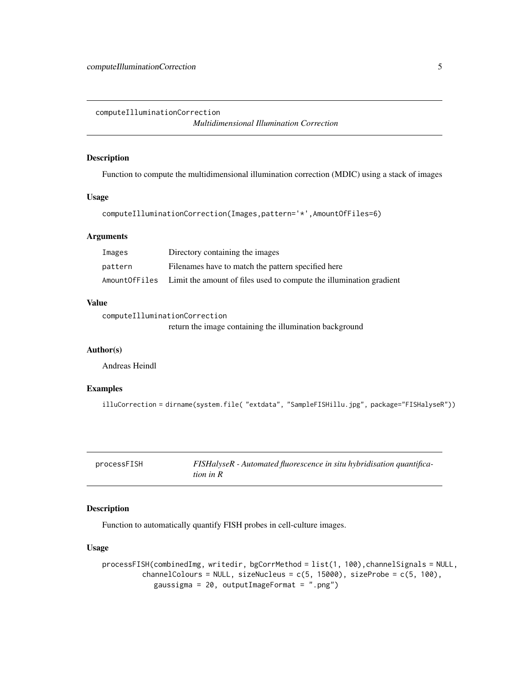<span id="page-4-0"></span>computeIlluminationCorrection

*Multidimensional Illumination Correction*

# Description

Function to compute the multidimensional illumination correction (MDIC) using a stack of images

#### Usage

```
computeIlluminationCorrection(Images,pattern='*',AmountOfFiles=6)
```
#### Arguments

| Images        | Directory containing the images                                     |
|---------------|---------------------------------------------------------------------|
| pattern       | Filenames have to match the pattern specified here                  |
| AmountOfFiles | Limit the amount of files used to compute the illumination gradient |

#### Value

```
computeIlluminationCorrection
```
return the image containing the illumination background

#### Author(s)

Andreas Heindl

# Examples

illuCorrection = dirname(system.file( "extdata", "SampleFISHillu.jpg", package="FISHalyseR"))

FISHalyseR - Automated fluorescence in situ hybridisation quantifica*tion in R*

# Description

Function to automatically quantify FISH probes in cell-culture images.

#### Usage

```
processFISH(combinedImg, writedir, bgCorrMethod = list(1, 100),channelSignals = NULL,
         channelColours = NULL, sizeNucleus = c(5, 15000), sizeProbe = c(5, 100),
            gaussigma = 20, outputImageFormat = ".png")
```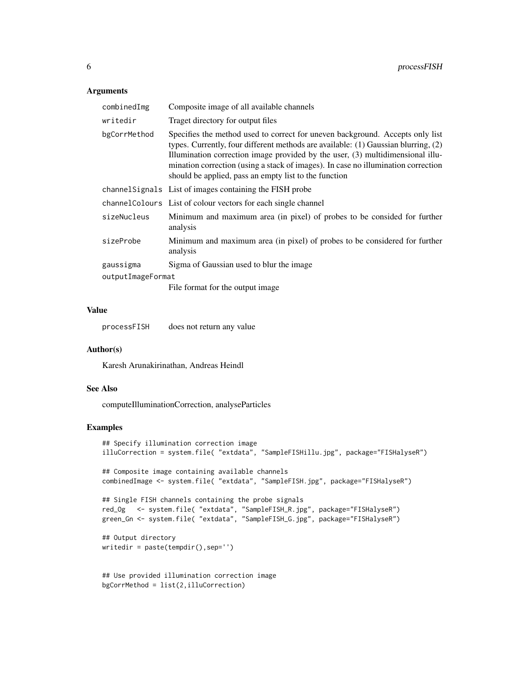#### Arguments

| combinedImg       | Composite image of all available channels                                                                                                                                                                                                                                                                                                                                                           |
|-------------------|-----------------------------------------------------------------------------------------------------------------------------------------------------------------------------------------------------------------------------------------------------------------------------------------------------------------------------------------------------------------------------------------------------|
| writedir          | Traget directory for output files                                                                                                                                                                                                                                                                                                                                                                   |
| bgCorrMethod      | Specifies the method used to correct for uneven background. Accepts only list<br>types. Currently, four different methods are available: (1) Gaussian blurring, (2)<br>Illumination correction image provided by the user, (3) multidimensional illu-<br>mination correction (using a stack of images). In case no illumination correction<br>should be applied, pass an empty list to the function |
|                   | channel Signals List of images containing the FISH probe                                                                                                                                                                                                                                                                                                                                            |
|                   | channel Colours List of colour vectors for each single channel                                                                                                                                                                                                                                                                                                                                      |
| sizeNucleus       | Minimum and maximum area (in pixel) of probes to be consided for further<br>analysis                                                                                                                                                                                                                                                                                                                |
| sizeProbe         | Minimum and maximum area (in pixel) of probes to be considered for further<br>analysis                                                                                                                                                                                                                                                                                                              |
| gaussigma         | Sigma of Gaussian used to blur the image                                                                                                                                                                                                                                                                                                                                                            |
| outputImageFormat |                                                                                                                                                                                                                                                                                                                                                                                                     |
|                   | File format for the output image.                                                                                                                                                                                                                                                                                                                                                                   |

#### Value

processFISH does not return any value

#### Author(s)

Karesh Arunakirinathan, Andreas Heindl

# See Also

computeIlluminationCorrection, analyseParticles

# Examples

```
## Specify illumination correction image
illuCorrection = system.file( "extdata", "SampleFISHillu.jpg", package="FISHalyseR")
## Composite image containing available channels
combinedImage <- system.file( "extdata", "SampleFISH.jpg", package="FISHalyseR")
## Single FISH channels containing the probe signals
red_Og <- system.file( "extdata", "SampleFISH_R.jpg", package="FISHalyseR")
green_Gn <- system.file( "extdata", "SampleFISH_G.jpg", package="FISHalyseR")
## Output directory
writedir = paste(tempdir(),sep='')
## Use provided illumination correction image
bgCorrMethod = list(2,illuCorrection)
```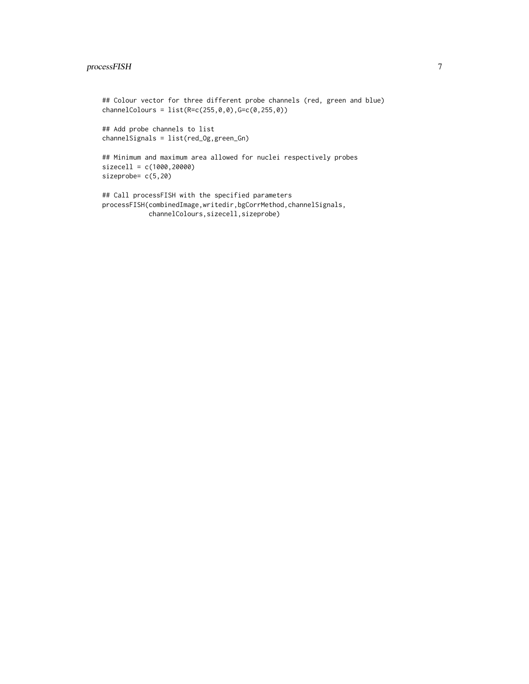# processFISH 7

```
## Colour vector for three different probe channels (red, green and blue)
channelColours = list(R=c(255,0,0),G=c(0,255,0))
## Add probe channels to list
channelSignals = list(red_Og,green_Gn)
## Minimum and maximum area allowed for nuclei respectively probes
sizecell = c(1000,20000)
sizeprobe= c(5,20)
## Call processFISH with the specified parameters
processFISH(combinedImage,writedir,bgCorrMethod,channelSignals,
```

```
channelColours,sizecell,sizeprobe)
```